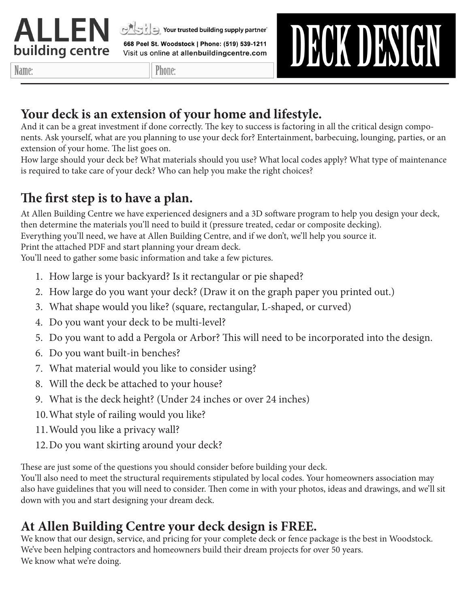

at a Your trusted building supply partner

668 Peel St. Woodstock | Phone: (519) 539-1211 Visit us online at allenbuildingcentre.com

Name:

Phone:

# DECK DESIGN

#### **Your deck is an extension of your home and lifestyle.**

And it can be a great investment if done correctly. The key to success is factoring in all the critical design components. Ask yourself, what are you planning to use your deck for? Entertainment, barbecuing, lounging, parties, or an extension of your home. The list goes on.

How large should your deck be? What materials should you use? What local codes apply? What type of maintenance is required to take care of your deck? Who can help you make the right choices?

#### **The first step is to have a plan.**

At Allen Building Centre we have experienced designers and a 3D software program to help you design your deck, then determine the materials you'll need to build it (pressure treated, cedar or composite decking). Everything you'll need, we have at Allen Building Centre, and if we don't, we'll help you source it. Print the attached PDF and start planning your dream deck.

You'll need to gather some basic information and take a few pictures.

- 1. How large is your backyard? Is it rectangular or pie shaped?
- 2. How large do you want your deck? (Draw it on the graph paper you printed out.)
- 3. What shape would you like? (square, rectangular, L-shaped, or curved)
- 4. Do you want your deck to be multi-level?
- 5. Do you want to add a Pergola or Arbor? This will need to be incorporated into the design.
- 6. Do you want built-in benches?
- 7. What material would you like to consider using?
- 8. Will the deck be attached to your house?
- 9. What is the deck height? (Under 24 inches or over 24 inches)
- 10.What style of railing would you like?
- 11.Would you like a privacy wall?
- 12.Do you want skirting around your deck?

These are just some of the questions you should consider before building your deck.

You'll also need to meet the structural requirements stipulated by local codes. Your homeowners association may also have guidelines that you will need to consider. Then come in with your photos, ideas and drawings, and we'll sit down with you and start designing your dream deck.

#### **At Allen Building Centre your deck design is FREE.**

We know that our design, service, and pricing for your complete deck or fence package is the best in Woodstock. We've been helping contractors and homeowners build their dream projects for over 50 years. We know what we're doing.